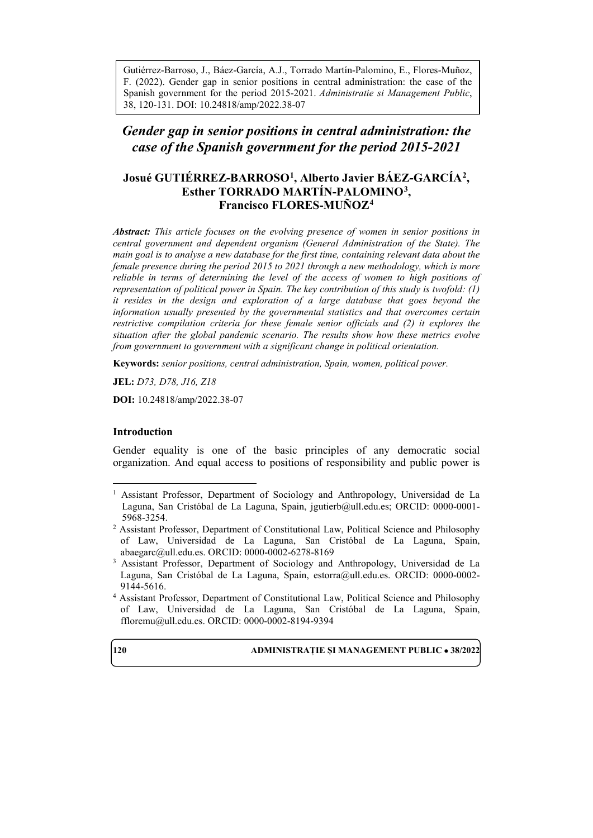Gutiérrez-Barroso, J., Báez-García, A.J., Torrado Martín-Palomino, E., Flores-Muñoz, F. (2022). Gender gap in senior positions in central administration: the case of the Spanish government for the period 2015-2021. *Administratie si Management Public*, 38, 120-131. DOI: 10.24818/amp/2022.38-07

*Gender gap in senior positions in central administration: the case of the Spanish government for the period 2015-2021*

# **Josué GUTIÉRREZ-BARROSO[1](#page-0-0), Alberto Javier BÁEZ-GARCÍA[2,](#page-0-1) Esther TORRADO MARTÍN-PALOMINO[3,](#page-0-2) Francisco FLORES-MUÑOZ[4](#page-0-3)**

*Abstract: This article focuses on the evolving presence of women in senior positions in central government and dependent organism (General Administration of the State). The main goal is to analyse a new database for the first time, containing relevant data about the female presence during the period 2015 to 2021 through a new methodology, which is more reliable in terms of determining the level of the access of women to high positions of representation of political power in Spain. The key contribution of this study is twofold: (1) it resides in the design and exploration of a large database that goes beyond the information usually presented by the governmental statistics and that overcomes certain restrictive compilation criteria for these female senior officials and (2) it explores the situation after the global pandemic scenario. The results show how these metrics evolve from government to government with a significant change in political orientation.* 

**Keywords:** *senior positions, central administration, Spain, women, political power.*

**JEL:** *D73, D78, J16, Z18*

**DOI:** 10.24818/amp/2022.38-07

#### **Introduction**

Gender equality is one of the basic principles of any democratic social organization. And equal access to positions of responsibility and public power is

<span id="page-0-3"></span><sup>4</sup> Assistant Professor, Department of Constitutional Law, Political Science and Philosophy of Law, Universidad de La Laguna, San Cristóbal de La Laguna, Spain, [ffloremu@ull.edu.es.](mailto:ffloremu@ull.edu.es) ORCID: 0000-0002-8194-9394



<span id="page-0-0"></span><sup>&</sup>lt;sup>1</sup> Assistant Professor, Department of Sociology and Anthropology, Universidad de La Laguna, San Cristóbal de La Laguna, Spain, [jgutierb@ull.edu.es;](mailto:jgutierb@ull.edu.es) ORCID: 0000-0001- 5968-3254.

<span id="page-0-1"></span><sup>2</sup> Assistant Professor, Department of Constitutional Law, Political Science and Philosophy of Law, Universidad de La Laguna, San Cristóbal de La Laguna, Spain, [abaegarc@ull.edu.es.](mailto:abaegarc@ull.edu.es) ORCID: 0000-0002-6278-8169

<span id="page-0-2"></span><sup>&</sup>lt;sup>3</sup> Assistant Professor, Department of Sociology and Anthropology, Universidad de La Laguna, San Cristóbal de La Laguna, Spain, [estorra@ull.edu.es.](mailto:estorra@ull.edu.es) ORCID: 0000-0002- 9144-5616.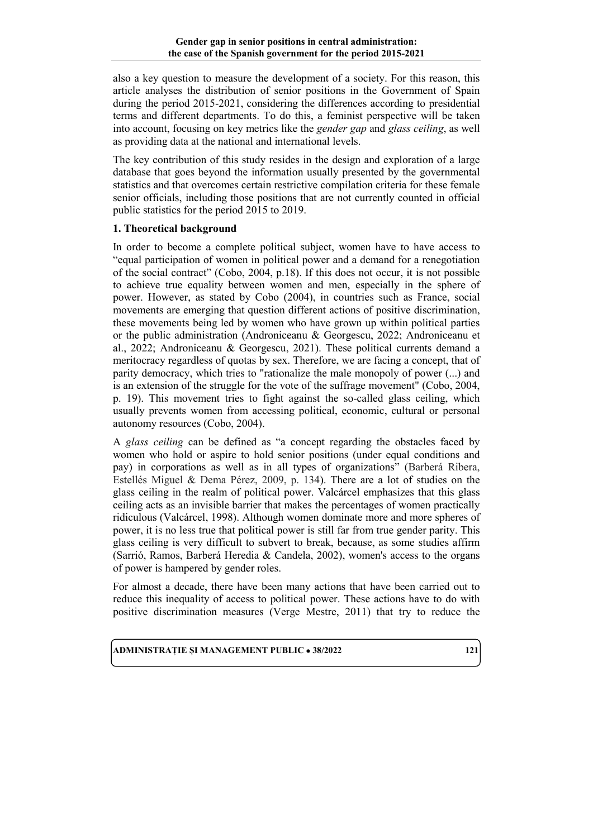also a key question to measure the development of a society. For this reason, this article analyses the distribution of senior positions in the Government of Spain during the period 2015-2021, considering the differences according to presidential terms and different departments. To do this, a feminist perspective will be taken into account, focusing on key metrics like the *gender gap* and *glass ceiling*, as well as providing data at the national and international levels.

The key contribution of this study resides in the design and exploration of a large database that goes beyond the information usually presented by the governmental statistics and that overcomes certain restrictive compilation criteria for these female senior officials, including those positions that are not currently counted in official public statistics for the period 2015 to 2019.

## **1. Theoretical background**

In order to become a complete political subject, women have to have access to "equal participation of women in political power and a demand for a renegotiation of the social contract" (Cobo, 2004, p.18). If this does not occur, it is not possible to achieve true equality between women and men, especially in the sphere of power. However, as stated by Cobo (2004), in countries such as France, social movements are emerging that question different actions of positive discrimination, these movements being led by women who have grown up within political parties or the public administration (Androniceanu & Georgescu, 2022; Androniceanu et al., 2022; Androniceanu & Georgescu, 2021). These political currents demand a meritocracy regardless of quotas by sex. Therefore, we are facing a concept, that of parity democracy, which tries to "rationalize the male monopoly of power (...) and is an extension of the struggle for the vote of the suffrage movement" (Cobo, 2004, p. 19). This movement tries to fight against the so-called glass ceiling, which usually prevents women from accessing political, economic, cultural or personal autonomy resources (Cobo, 2004).

A *glass ceiling* can be defined as "a concept regarding the obstacles faced by women who hold or aspire to hold senior positions (under equal conditions and pay) in corporations as well as in all types of organizations" (Barberá Ribera, Estellés Miguel & Dema Pérez, 2009, p. 134). There are a lot of studies on the glass ceiling in the realm of political power. Valcárcel emphasizes that this glass ceiling acts as an invisible barrier that makes the percentages of women practically ridiculous (Valcárcel, 1998). Although women dominate more and more spheres of power, it is no less true that political power is still far from true gender parity. This glass ceiling is very difficult to subvert to break, because, as some studies affirm (Sarrió, Ramos, Barberá Heredia & Candela, 2002), women's access to the organs of power is hampered by gender roles.

For almost a decade, there have been many actions that have been carried out to reduce this inequality of access to political power. These actions have to do with positive discrimination measures (Verge Mestre, 2011) that try to reduce the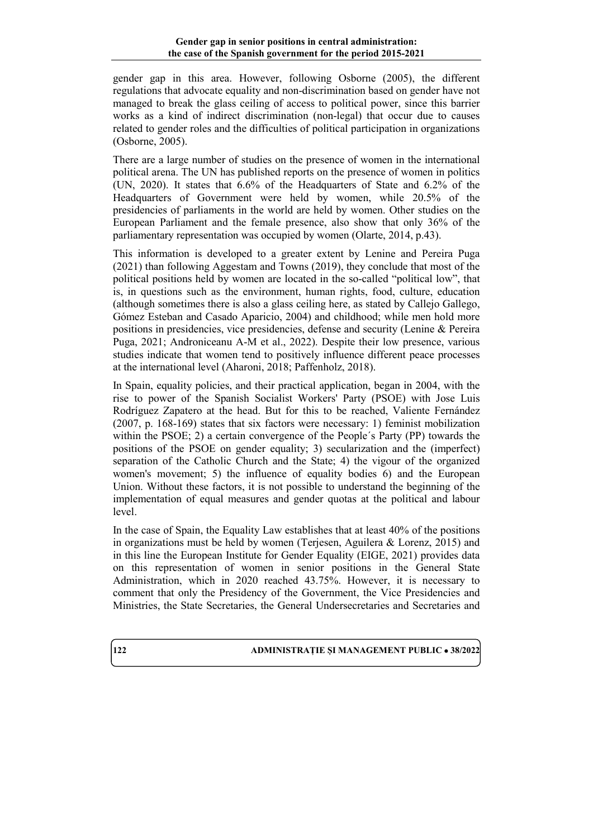gender gap in this area. However, following Osborne (2005), the different regulations that advocate equality and non-discrimination based on gender have not managed to break the glass ceiling of access to political power, since this barrier works as a kind of indirect discrimination (non-legal) that occur due to causes related to gender roles and the difficulties of political participation in organizations (Osborne, 2005).

There are a large number of studies on the presence of women in the international political arena. The UN has published reports on the presence of women in politics (UN, 2020). It states that 6.6% of the Headquarters of State and 6.2% of the Headquarters of Government were held by women, while 20.5% of the presidencies of parliaments in the world are held by women. Other studies on the European Parliament and the female presence, also show that only 36% of the parliamentary representation was occupied by women (Olarte, 2014, p.43).

This information is developed to a greater extent by Lenine and Pereira Puga (2021) than following Aggestam and Towns (2019), they conclude that most of the political positions held by women are located in the so-called "political low", that is, in questions such as the environment, human rights, food, culture, education (although sometimes there is also a glass ceiling here, as stated by Callejo Gallego, Gómez Esteban and Casado Aparicio, 2004) and childhood; while men hold more positions in presidencies, vice presidencies, defense and security (Lenine & Pereira Puga, 2021; Androniceanu A-M et al., 2022). Despite their low presence, various studies indicate that women tend to positively influence different peace processes at the international level (Aharoni, 2018; Paffenholz, 2018).

In Spain, equality policies, and their practical application, began in 2004, with the rise to power of the Spanish Socialist Workers' Party (PSOE) with Jose Luis Rodríguez Zapatero at the head. But for this to be reached, Valiente Fernández (2007, p. 168-169) states that six factors were necessary: 1) feminist mobilization within the PSOE; 2) a certain convergence of the People´s Party (PP) towards the positions of the PSOE on gender equality; 3) secularization and the (imperfect) separation of the Catholic Church and the State; 4) the vigour of the organized women's movement; 5) the influence of equality bodies 6) and the European Union. Without these factors, it is not possible to understand the beginning of the implementation of equal measures and gender quotas at the political and labour level.

In the case of Spain, the Equality Law establishes that at least 40% of the positions in organizations must be held by women (Terjesen, Aguilera & Lorenz, 2015) and in this line the European Institute for Gender Equality (EIGE, 2021) provides data on this representation of women in senior positions in the General State Administration, which in 2020 reached 43.75%. However, it is necessary to comment that only the Presidency of the Government, the Vice Presidencies and Ministries, the State Secretaries, the General Undersecretaries and Secretaries and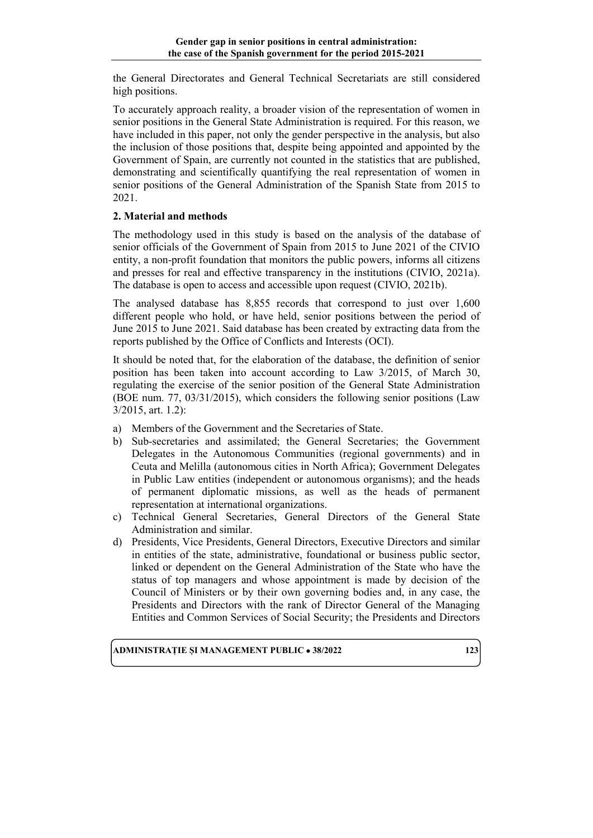the General Directorates and General Technical Secretariats are still considered high positions.

To accurately approach reality, a broader vision of the representation of women in senior positions in the General State Administration is required. For this reason, we have included in this paper, not only the gender perspective in the analysis, but also the inclusion of those positions that, despite being appointed and appointed by the Government of Spain, are currently not counted in the statistics that are published, demonstrating and scientifically quantifying the real representation of women in senior positions of the General Administration of the Spanish State from 2015 to 2021.

## **2. Material and methods**

The methodology used in this study is based on the analysis of the database of senior officials of the Government of Spain from 2015 to June 2021 of the CIVIO entity, a non-profit foundation that monitors the public powers, informs all citizens and presses for real and effective transparency in the institutions (CIVIO, 2021a). The database is open to access and accessible upon request (CIVIO, 2021b).

The analysed database has 8,855 records that correspond to just over 1,600 different people who hold, or have held, senior positions between the period of June 2015 to June 2021. Said database has been created by extracting data from the reports published by the Office of Conflicts and Interests (OCI).

It should be noted that, for the elaboration of the database, the definition of senior position has been taken into account according to Law 3/2015, of March 30, regulating the exercise of the senior position of the General State Administration (BOE num. 77, 03/31/2015), which considers the following senior positions (Law 3/2015, art. 1.2):

- a) Members of the Government and the Secretaries of State.
- b) Sub-secretaries and assimilated; the General Secretaries; the Government Delegates in the Autonomous Communities (regional governments) and in Ceuta and Melilla (autonomous cities in North Africa); Government Delegates in Public Law entities (independent or autonomous organisms); and the heads of permanent diplomatic missions, as well as the heads of permanent representation at international organizations.
- c) Technical General Secretaries, General Directors of the General State Administration and similar.
- d) Presidents, Vice Presidents, General Directors, Executive Directors and similar in entities of the state, administrative, foundational or business public sector, linked or dependent on the General Administration of the State who have the status of top managers and whose appointment is made by decision of the Council of Ministers or by their own governing bodies and, in any case, the Presidents and Directors with the rank of Director General of the Managing Entities and Common Services of Social Security; the Presidents and Directors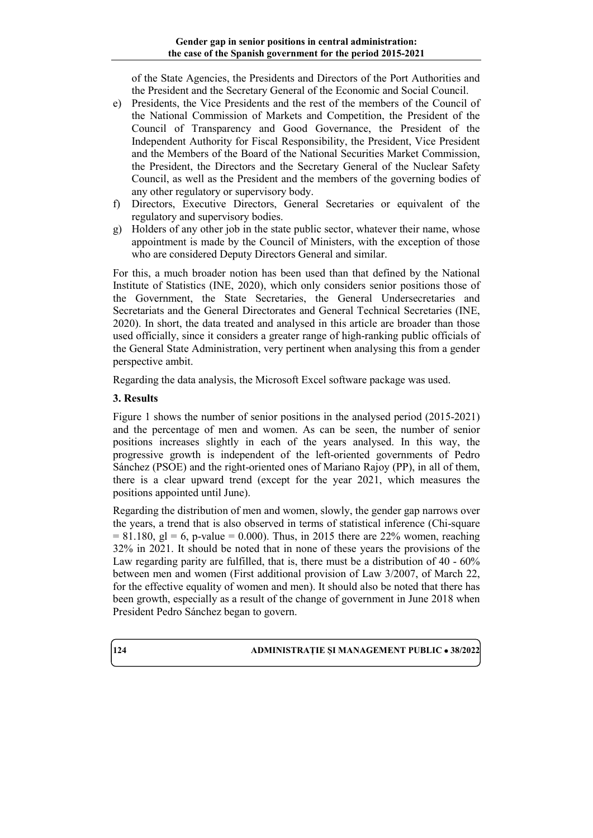of the State Agencies, the Presidents and Directors of the Port Authorities and the President and the Secretary General of the Economic and Social Council.

- e) Presidents, the Vice Presidents and the rest of the members of the Council of the National Commission of Markets and Competition, the President of the Council of Transparency and Good Governance, the President of the Independent Authority for Fiscal Responsibility, the President, Vice President and the Members of the Board of the National Securities Market Commission, the President, the Directors and the Secretary General of the Nuclear Safety Council, as well as the President and the members of the governing bodies of any other regulatory or supervisory body.
- f) Directors, Executive Directors, General Secretaries or equivalent of the regulatory and supervisory bodies.
- g) Holders of any other job in the state public sector, whatever their name, whose appointment is made by the Council of Ministers, with the exception of those who are considered Deputy Directors General and similar.

For this, a much broader notion has been used than that defined by the National Institute of Statistics (INE, 2020), which only considers senior positions those of the Government, the State Secretaries, the General Undersecretaries and Secretariats and the General Directorates and General Technical Secretaries (INE, 2020). In short, the data treated and analysed in this article are broader than those used officially, since it considers a greater range of high-ranking public officials of the General State Administration, very pertinent when analysing this from a gender perspective ambit.

Regarding the data analysis, the Microsoft Excel software package was used.

## **3. Results**

Figure 1 shows the number of senior positions in the analysed period (2015-2021) and the percentage of men and women. As can be seen, the number of senior positions increases slightly in each of the years analysed. In this way, the progressive growth is independent of the left-oriented governments of Pedro Sánchez (PSOE) and the right-oriented ones of Mariano Rajoy (PP), in all of them, there is a clear upward trend (except for the year 2021, which measures the positions appointed until June).

Regarding the distribution of men and women, slowly, the gender gap narrows over the years, a trend that is also observed in terms of statistical inference (Chi-square  $= 81.180$ , gl = 6, p-value = 0.000). Thus, in 2015 there are 22% women, reaching 32% in 2021. It should be noted that in none of these years the provisions of the Law regarding parity are fulfilled, that is, there must be a distribution of 40 - 60% between men and women (First additional provision of Law 3/2007, of March 22, for the effective equality of women and men). It should also be noted that there has been growth, especially as a result of the change of government in June 2018 when President Pedro Sánchez began to govern.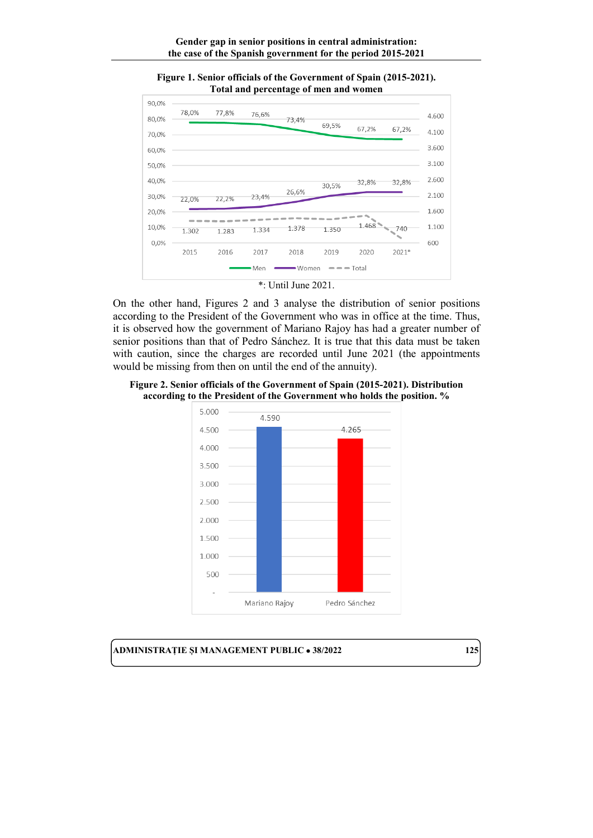

**Figure 1. Senior officials of the Government of Spain (2015-2021). Total and percentage of men and women**



On the other hand, Figures 2 and 3 analyse the distribution of senior positions according to the President of the Government who was in office at the time. Thus, it is observed how the government of Mariano Rajoy has had a greater number of senior positions than that of Pedro Sánchez. It is true that this data must be taken with caution, since the charges are recorded until June 2021 (the appointments would be missing from then on until the end of the annuity).

**Figure 2. Senior officials of the Government of Spain (2015-2021). Distribution according to the President of the Government who holds the position. %**

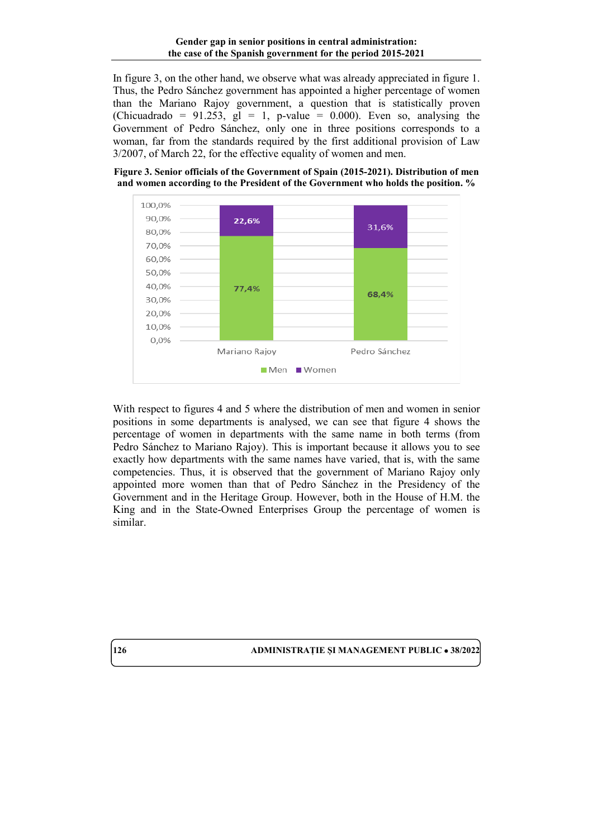In figure 3, on the other hand, we observe what was already appreciated in figure 1. Thus, the Pedro Sánchez government has appointed a higher percentage of women than the Mariano Rajoy government, a question that is statistically proven (Chicuadrado = 91.253,  $g1 = 1$ , p-value = 0.000). Even so, analysing the Government of Pedro Sánchez, only one in three positions corresponds to a woman, far from the standards required by the first additional provision of Law 3/2007, of March 22, for the effective equality of women and men.





With respect to figures 4 and 5 where the distribution of men and women in senior positions in some departments is analysed, we can see that figure 4 shows the percentage of women in departments with the same name in both terms (from Pedro Sánchez to Mariano Rajoy). This is important because it allows you to see exactly how departments with the same names have varied, that is, with the same competencies. Thus, it is observed that the government of Mariano Rajoy only appointed more women than that of Pedro Sánchez in the Presidency of the Government and in the Heritage Group. However, both in the House of H.M. the King and in the State-Owned Enterprises Group the percentage of women is similar.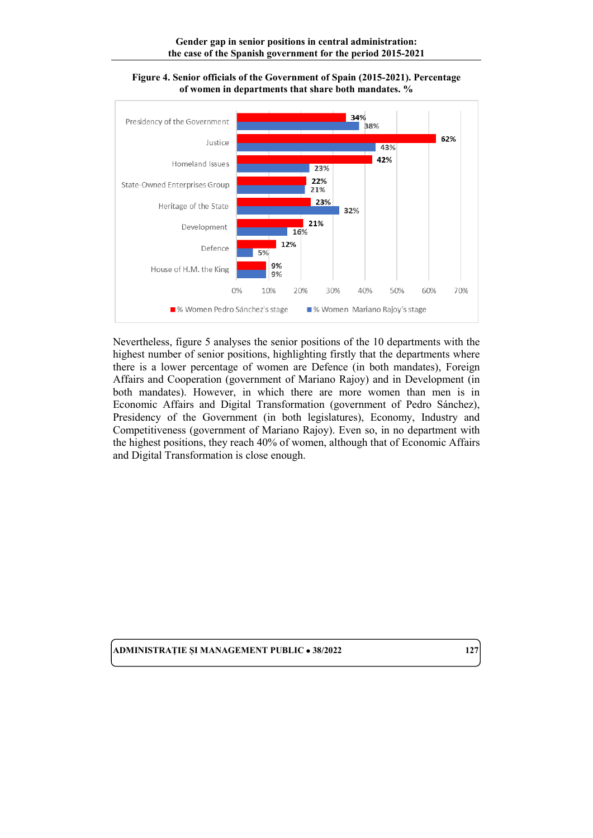



Nevertheless, figure 5 analyses the senior positions of the 10 departments with the highest number of senior positions, highlighting firstly that the departments where there is a lower percentage of women are Defence (in both mandates), Foreign Affairs and Cooperation (government of Mariano Rajoy) and in Development (in both mandates). However, in which there are more women than men is in Economic Affairs and Digital Transformation (government of Pedro Sánchez), Presidency of the Government (in both legislatures), Economy, Industry and Competitiveness (government of Mariano Rajoy). Even so, in no department with the highest positions, they reach 40% of women, although that of Economic Affairs and Digital Transformation is close enough.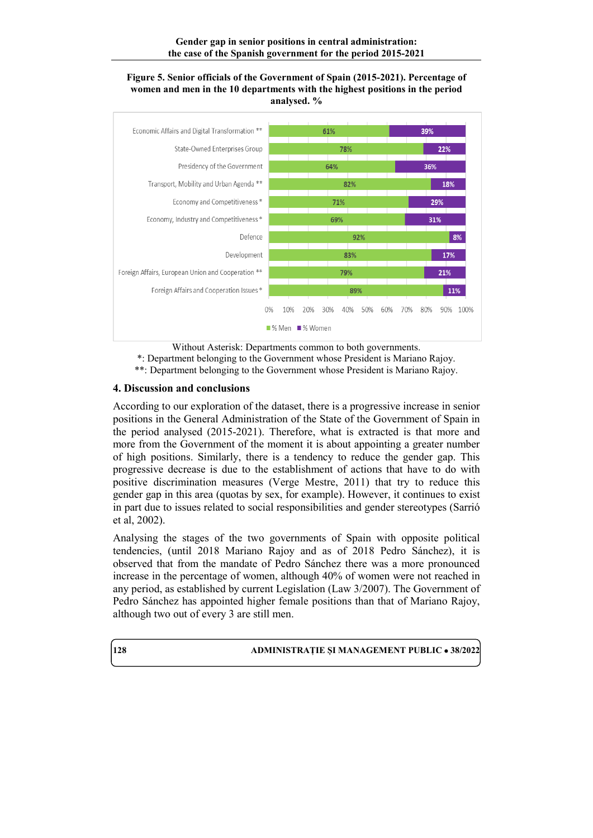#### **Figure 5. Senior officials of the Government of Spain (2015-2021). Percentage of women and men in the 10 departments with the highest positions in the period analysed. %**



Without Asterisk: Departments common to both governments.

\*: Department belonging to the Government whose President is Mariano Rajoy.

\*\*: Department belonging to the Government whose President is Mariano Rajoy.

## **4. Discussion and conclusions**

According to our exploration of the dataset, there is a progressive increase in senior positions in the General Administration of the State of the Government of Spain in the period analysed (2015-2021). Therefore, what is extracted is that more and more from the Government of the moment it is about appointing a greater number of high positions. Similarly, there is a tendency to reduce the gender gap. This progressive decrease is due to the establishment of actions that have to do with positive discrimination measures (Verge Mestre, 2011) that try to reduce this gender gap in this area (quotas by sex, for example). However, it continues to exist in part due to issues related to social responsibilities and gender stereotypes (Sarrió et al, 2002).

Analysing the stages of the two governments of Spain with opposite political tendencies, (until 2018 Mariano Rajoy and as of 2018 Pedro Sánchez), it is observed that from the mandate of Pedro Sánchez there was a more pronounced increase in the percentage of women, although 40% of women were not reached in any period, as established by current Legislation (Law 3/2007). The Government of Pedro Sánchez has appointed higher female positions than that of Mariano Rajoy, although two out of every 3 are still men.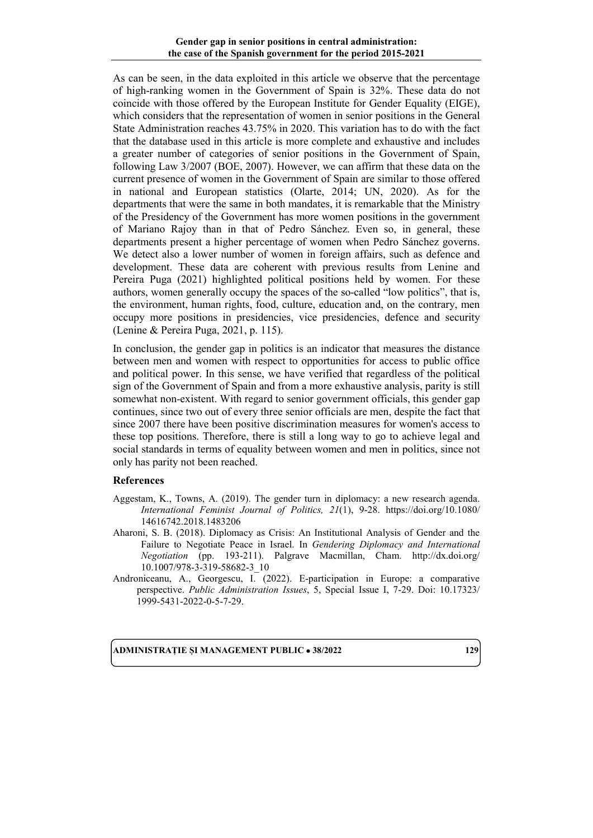As can be seen, in the data exploited in this article we observe that the percentage of high-ranking women in the Government of Spain is 32%. These data do not coincide with those offered by the European Institute for Gender Equality (EIGE), which considers that the representation of women in senior positions in the General State Administration reaches 43.75% in 2020. This variation has to do with the fact that the database used in this article is more complete and exhaustive and includes a greater number of categories of senior positions in the Government of Spain, following Law 3/2007 (BOE, 2007). However, we can affirm that these data on the current presence of women in the Government of Spain are similar to those offered in national and European statistics (Olarte, 2014; UN, 2020). As for the departments that were the same in both mandates, it is remarkable that the Ministry of the Presidency of the Government has more women positions in the government of Mariano Rajoy than in that of Pedro Sánchez. Even so, in general, these departments present a higher percentage of women when Pedro Sánchez governs. We detect also a lower number of women in foreign affairs, such as defence and development. These data are coherent with previous results from Lenine and Pereira Puga (2021) highlighted political positions held by women. For these authors, women generally occupy the spaces of the so-called "low politics", that is, the environment, human rights, food, culture, education and, on the contrary, men occupy more positions in presidencies, vice presidencies, defence and security (Lenine & Pereira Puga, 2021, p. 115).

In conclusion, the gender gap in politics is an indicator that measures the distance between men and women with respect to opportunities for access to public office and political power. In this sense, we have verified that regardless of the political sign of the Government of Spain and from a more exhaustive analysis, parity is still somewhat non-existent. With regard to senior government officials, this gender gap continues, since two out of every three senior officials are men, despite the fact that since 2007 there have been positive discrimination measures for women's access to these top positions. Therefore, there is still a long way to go to achieve legal and social standards in terms of equality between women and men in politics, since not only has parity not been reached.

## **References**

- Aggestam, K., Towns, A. (2019). The gender turn in diplomacy: a new research agenda. *International Feminist Journal of Politics, 21*(1), 9-28. [https://doi.org/10.1080/](https://doi.org/10.1080/%0b14616742.2018.1483206) [14616742.2018.1483206](https://doi.org/10.1080/%0b14616742.2018.1483206)
- Aharoni, S. B. (2018). Diplomacy as Crisis: An Institutional Analysis of Gender and the Failure to Negotiate Peace in Israel. In *Gendering Diplomacy and International Negotiation* (pp. 193-211). Palgrave Macmillan, Cham. [http://dx.doi.org/](http://dx.doi.org/%0b10.1007/978-3-319-58682-3_10) [10.1007/978-3-319-58682-3\\_10](http://dx.doi.org/%0b10.1007/978-3-319-58682-3_10)
- Androniceanu, A., Georgescu, I. (2022). E-participation in Europe: a comparative perspective. *Public Administration Issues*, 5, Special Issue I, 7-29. Doi: 10.17323/ 1999-5431-2022-0-5-7-29.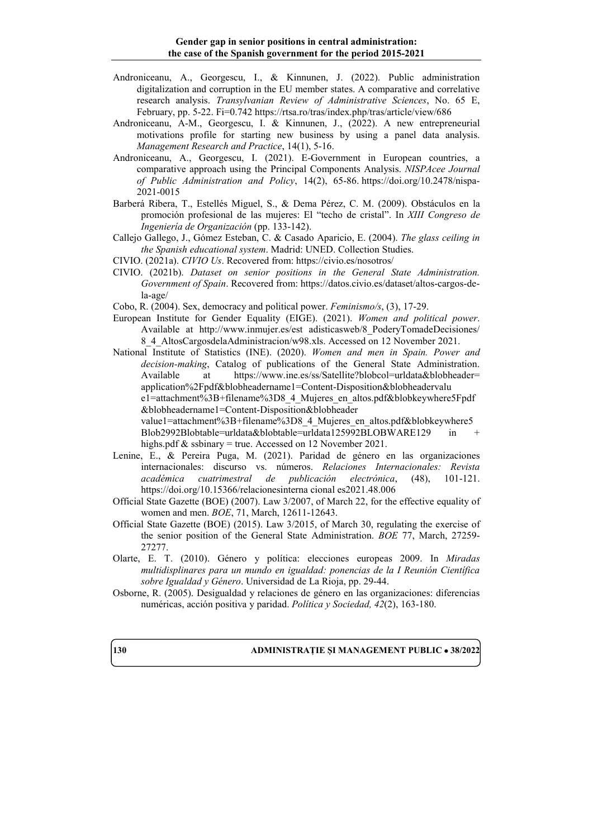- Androniceanu, A., Georgescu, I., & Kinnunen, J. (2022). Public administration digitalization and corruption in the EU member states. A comparative and correlative research analysis. *Transylvanian Review of Administrative Sciences*, No. 65 E, February, pp. 5-22. Fi=0.742<https://rtsa.ro/tras/index.php/tras/article/view/686>
- Androniceanu, A-M., Georgescu, I. & Kinnunen, J., (2022). A new entrepreneurial motivations profile for starting new business by using a panel data analysis. *Management Research and Practice*, 14(1), 5-16.
- Androniceanu, A., Georgescu, I. (2021). E-Government in European countries, a comparative approach using the Principal Components Analysis. *NISPAcee Journal of Public Administration and Policy*, 14(2), 65-86. [https://doi.org/10.2478/nispa-](https://doi.org/10.2478/nispa-2021-0015)[2021-0015](https://doi.org/10.2478/nispa-2021-0015)
- Barberá Ribera, T., Estellés Miguel, S., & Dema Pérez, C. M. (2009). Obstáculos en la promoción profesional de las mujeres: El "techo de cristal". In *XIII Congreso de Ingeniería de Organización* (pp. 133-142).
- Callejo Gallego, J., Gómez Esteban, C. & Casado Aparicio, E. (2004). *The glass ceiling in the Spanish educational system*. Madrid: UNED. Collection Studies.
- CIVIO. (2021a). *CIVIO Us*. Recovered from: https://civio.es/nosotros/
- CIVIO. (2021b). *Dataset on senior positions in the General State Administration. Government of Spain*. Recovered from: [https://datos.civio.es/dataset/altos-cargos-de](https://datos.civio.es/dataset/altos-cargos-de-la-age/)[la-age/](https://datos.civio.es/dataset/altos-cargos-de-la-age/)
- Cobo, R. (2004). Sex, democracy and political power. *Feminismo/s*, (3), 17-29.
- European Institute for Gender Equality (EIGE). (2021). *Women and political power*. Available at http://www.inmujer.es/est [adisticasweb/8\\_PoderyTomadeDecisiones/](http://www.inmujer.es/est%20adisticasweb/8_PoderyTomadeDecisiones/%0b8_4_AltosCargosdelaAdministracion/w98.xls) [8\\_4\\_AltosCargosdelaAdministracion/w98.xls.](http://www.inmujer.es/est%20adisticasweb/8_PoderyTomadeDecisiones/%0b8_4_AltosCargosdelaAdministracion/w98.xls) Accessed on 12 November 2021.
- National Institute of Statistics (INE). (2020). *Women and men in Spain. Power and decision-making*, Catalog of publications of the General State Administration. Available at [https://www.ine.es/ss/Satellite?blobcol=urldata&blobheader=](https://www.ine.es/ss/Satellite?blobcol=urldata&blobheader=%0bapplication%2Fpdf&blobheadername1=Content-Disposition&blobhead) [application%2Fpdf&blobheadername1=Content-Disposition&blobheade](https://www.ine.es/ss/Satellite?blobcol=urldata&blobheader=%0bapplication%2Fpdf&blobheadername1=Content-Disposition&blobhead)rvalu e1=attachment%3B+filename%3D8\_4\_Mujeres\_en\_altos.pdf&blobkeywhere5Fpdf &blobheadername1=Content-Disposition&blobheader value1=attachment%3B+filename%3D8\_4\_Mujeres\_en\_altos.pdf&blobkeywhere5 Blob2992Blobtable=urldata&blobtable=urldata125992BLOBWARE129 in highs.pdf & ssbinary = true. Accessed on 12 November 2021.
- Lenine, E., & Pereira Puga, M. (2021). Paridad de género en las organizaciones internacionales: discurso vs. números. *Relaciones Internacionales: Revista académica cuatrimestral de publicación electrónica*, (48), 101-121. https://doi.org/10.15366/relacionesinterna cional es2021.48.006
- Official State Gazette (BOE) (2007). Law 3/2007, of March 22, for the effective equality of women and men. *BOE*, 71, March, 12611-12643.
- Official State Gazette (BOE) (2015). Law 3/2015, of March 30, regulating the exercise of the senior position of the General State Administration. *BOE* 77, March, 27259- 27277.
- Olarte, E. T. (2010). Género y política: elecciones europeas 2009. In *Miradas multidisplinares para un mundo en igualdad: ponencias de la I Reunión Científica sobre Igualdad y Género*. Universidad de La Rioja, pp. 29-44.
- Osborne, R. (2005). Desigualdad y relaciones de género en las organizaciones: diferencias numéricas, acción positiva y paridad. *Política y Sociedad, 42*(2), 163-180.